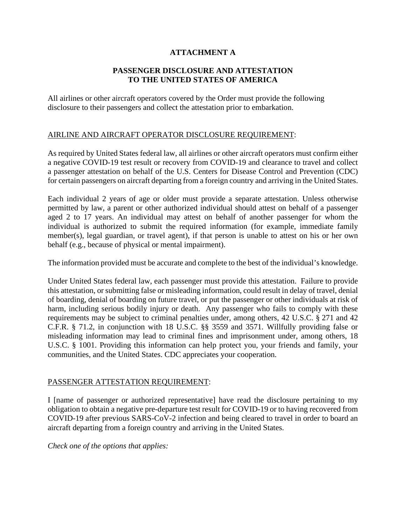# **ATTACHMENT A**

### **PASSENGER DISCLOSURE AND ATTESTATION TO THE UNITED STATES OF AMERICA**

All airlines or other aircraft operators covered by the Order must provide the following disclosure to their passengers and collect the attestation prior to embarkation.

#### AIRLINE AND AIRCRAFT OPERATOR DISCLOSURE REQUIREMENT:

As required by United States federal law, all airlines or other aircraft operators must confirm either a negative COVID-19 test result or recovery from COVID-19 and clearance to travel and collect a passenger attestation on behalf of the U.S. Centers for Disease Control and Prevention (CDC) for certain passengers on aircraft departing from a foreign country and arriving in the United States.

Each individual 2 years of age or older must provide a separate attestation. Unless otherwise permitted by law, a parent or other authorized individual should attest on behalf of a passenger aged 2 to 17 years. An individual may attest on behalf of another passenger for whom the individual is authorized to submit the required information (for example, immediate family member(s), legal guardian, or travel agent), if that person is unable to attest on his or her own behalf (e.g., because of physical or mental impairment).

The information provided must be accurate and complete to the best of the individual's knowledge.

Under United States federal law, each passenger must provide this attestation. Failure to provide this attestation, or submitting false or misleading information, could result in delay of travel, denial of boarding, denial of boarding on future travel, or put the passenger or other individuals at risk of harm, including serious bodily injury or death. Any passenger who fails to comply with these requirements may be subject to criminal penalties under, among others, 42 U.S.C. § 271 and 42 C.F.R. § 71.2, in conjunction with 18 U.S.C. §§ 3559 and 3571. Willfully providing false or misleading information may lead to criminal fines and imprisonment under, among others, 18 U.S.C. § 1001. Providing this information can help protect you, your friends and family, your communities, and the United States. CDC appreciates your cooperation.

#### PASSENGER ATTESTATION REQUIREMENT:

I [name of passenger or authorized representative] have read the disclosure pertaining to my obligation to obtain a negative pre-departure test result for COVID-19 or to having recovered from COVID-19 after previous SARS-CoV-2 infection and being cleared to travel in order to board an aircraft departing from a foreign country and arriving in the United States.

*Check one of the options that applies:*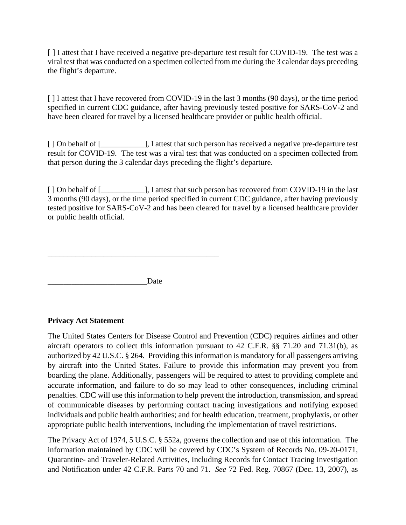[ ] I attest that I have received a negative pre-departure test result for COVID-19. The test was a viral test that was conducted on a specimen collected from me during the 3 calendar days preceding the flight's departure.

[] I attest that I have recovered from COVID-19 in the last 3 months (90 days), or the time period specified in current CDC guidance, after having previously tested positive for SARS-CoV-2 and have been cleared for travel by a licensed healthcare provider or public health official.

[ ] On behalf of [ ] [ ] [ ] [ ] [ ] [ ] [ ] [ attest that such person has received a negative pre-departure test result for COVID-19. The test was a viral test that was conducted on a specimen collected from that person during the 3 calendar days preceding the flight's departure.

[ ] On behalf of [ ]  $\blacksquare$  ], I attest that such person has recovered from COVID-19 in the last 3 months (90 days), or the time period specified in current CDC guidance, after having previously tested positive for SARS-CoV-2 and has been cleared for travel by a licensed healthcare provider or public health official.

 $\overline{\phantom{a}}$  , and the contract of the contract of the contract of the contract of the contract of the contract of the contract of the contract of the contract of the contract of the contract of the contract of the contrac

Date

## **Privacy Act Statement**

The United States Centers for Disease Control and Prevention (CDC) requires airlines and other aircraft operators to collect this information pursuant to 42 C.F.R. §§ 71.20 and 71.31(b), as authorized by 42 U.S.C. § 264. Providing this information is mandatory for all passengers arriving by aircraft into the United States. Failure to provide this information may prevent you from boarding the plane. Additionally, passengers will be required to attest to providing complete and accurate information, and failure to do so may lead to other consequences, including criminal penalties. CDC will use this information to help prevent the introduction, transmission, and spread of communicable diseases by performing contact tracing investigations and notifying exposed individuals and public health authorities; and for health education, treatment, prophylaxis, or other appropriate public health interventions, including the implementation of travel restrictions.

The Privacy Act of 1974, 5 U.S.C. § 552a, governs the collection and use of this information. The information maintained by CDC will be covered by CDC's System of Records No. 09-20-0171, Quarantine- and Traveler-Related Activities, Including Records for Contact Tracing Investigation and Notification under 42 C.F.R. Parts 70 and 71. *See* 72 Fed. Reg. 70867 (Dec. 13, 2007), as